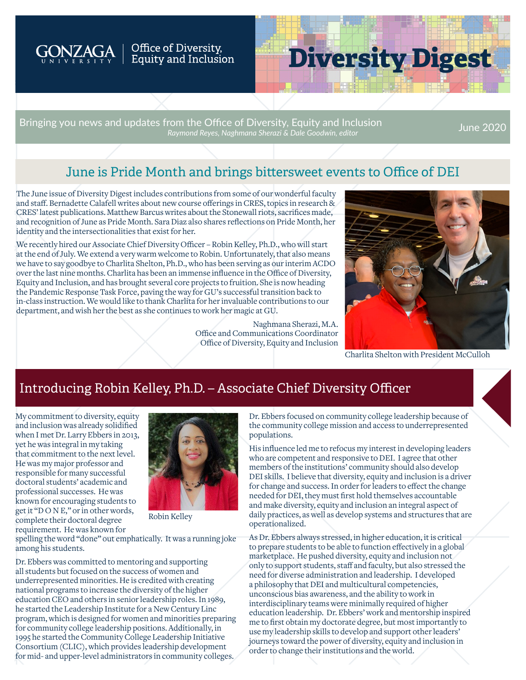

#### Office of Diversity, Equity and Inclusion

# **Diversity Digest**

Bringing you news and updates from the Office of Diversity, Equity and Inclusion *Raymond Reyes, Naghmana Sherazi & Dale Goodwin, editor* June 2020

#### June is Pride Month and brings bittersweet events to Office of DEI

The June issue of Diversity Digest includes contributions from some of our wonderful faculty and staff. Bernadette Calafell writes about new course offerings in CRES, topics in research & CRES' latest publications. Matthew Barcus writes about the Stonewall riots, sacrifices made, and recognition of June as Pride Month. Sara Diaz also shares reflections on Pride Month, her identity and the intersectionalities that exist for her.

We recently hired our Associate Chief Diversity Officer – Robin Kelley, Ph.D., who will start at the end of July. We extend a very warm welcome to Robin. Unfortunately, that also means we have to say goodbye to Charlita Shelton, Ph.D., who has been serving as our interim ACDO over the last nine months. Charlita has been an immense influence in the Office of Diversity, Equity and Inclusion, and has brought several core projects to fruition. She is now heading the Pandemic Response Task Force, paving the way for GU's successful transition back to in-class instruction. We would like to thank Charlita for her invaluable contributions to our department, and wish her the best as she continues to work her magic at GU.

> Naghmana Sherazi, M.A. Office and Communications Coordinator Office of Diversity, Equity and Inclusion



Charlita Shelton with President McCulloh

## Introducing Robin Kelley, Ph.D. – Associate Chief Diversity Officer

My commitment to diversity, equity and inclusion was already solidified when I met Dr. Larry Ebbers in 2013, yet he was integral in my taking that commitment to the next level. He was my major professor and responsible for many successful doctoral students' academic and professional successes. He was known for encouraging students to get it "D O N E," or in other words, complete their doctoral degree requirement. He was known for



Robin Kelley

spelling the word "done" out emphatically. It was a running joke among his students.

Dr. Ebbers was committed to mentoring and supporting all students but focused on the success of women and underrepresented minorities. He is credited with creating national programs to increase the diversity of the higher education CEO and others in senior leadership roles. In 1989, he started the Leadership Institute for a New Century Linc program, which is designed for women and minorities preparing for community college leadership positions. Additionally, in 1995 he started the Community College Leadership Initiative Consortium (CLIC), which provides leadership development for mid- and upper-level administrators in community colleges.

Dr. Ebbers focused on community college leadership because of the community college mission and access to underrepresented populations.

His influence led me to refocus my interest in developing leaders who are competent and responsive to DEI. I agree that other members of the institutions' community should also develop DEI skills. I believe that diversity, equity and inclusion is a driver for change and success. In order for leaders to effect the change needed for DEI, they must first hold themselves accountable and make diversity, equity and inclusion an integral aspect of daily practices, as well as develop systems and structures that are operationalized.

As Dr. Ebbers always stressed, in higher education, it is critical to prepare students to be able to function effectively in a global marketplace. He pushed diversity, equity and inclusion not only to support students, staff and faculty, but also stressed the need for diverse administration and leadership. I developed a philosophy that DEI and multicultural competencies, unconscious bias awareness, and the ability to work in interdisciplinary teams were minimally required of higher education leadership. Dr. Ebbers' work and mentorship inspired me to first obtain my doctorate degree, but most importantly to use my leadership skills to develop and support other leaders' journeys toward the power of diversity, equity and inclusion in order to change their institutions and the world.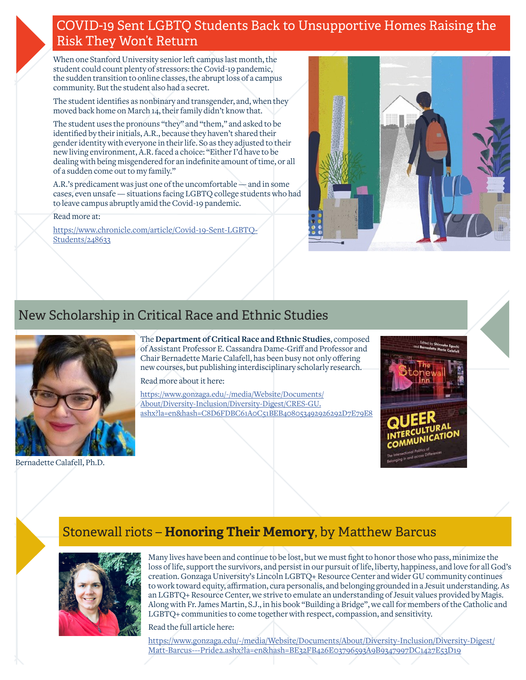## COVID-19 Sent LGBTQ Students Back to Unsupportive Homes Raising the Risk They Won't Return

When one Stanford University senior left campus last month, the student could count plenty of stressors: the Covid-19 pandemic, the sudden transition to online classes, the abrupt loss of a campus community. But the student also had a secret.

The student identifies as nonbinary and transgender, and, when they moved back home on March 14, their family didn't know that.

The student uses the pronouns "they" and "them," and asked to be identified by their initials, A.R., because they haven't shared their gender identity with everyone in their life. So as they adjusted to their new living environment, A.R. faced a choice: "Either I'd have to be dealing with being misgendered for an indefinite amount of time, or all of a sudden come out to my family."

A.R.'s predicament was just one of the uncomfortable — and in some cases, even unsafe — situations facing LGBTQ college students who had to leave campus abruptly amid the Covid-19 pandemic.

Read more at:

[https://www.chronicle.com/article/Covid-19-Sent-LGBTQ-](https://www.chronicle.com/article/Covid-19-Sent-LGBTQ-Students/248633)[Students/248633](https://www.chronicle.com/article/Covid-19-Sent-LGBTQ-Students/248633)



# New Scholarship in Critical Race and Ethnic Studies



Bernadette Calafell, Ph.D.

The **Department of Critical Race and Ethnic Studies**, composed of Assistant Professor E. Cassandra Dame-Griff and Professor and Chair Bernadette Marie Calafell, has been busy not only offering new courses, but publishing interdisciplinary scholarly research.

Read more about it here:

[https://www.gonzaga.edu/-/media/Website/Documents/](https://www.gonzaga.edu/-/media/Website/Documents/About/Diversity-Inclusion/Diversity-Digest/CRES-GU) [About/Diversity-Inclusion/Diversity-Digest/CRES-GU.](https://www.gonzaga.edu/-/media/Website/Documents/About/Diversity-Inclusion/Diversity-Digest/CRES-GU) [ashx?la=en&hash=C8D6FDBC61A0C51BEB408053492926292D7E79E8](https://www.gonzaga.edu/-/media/Website/Documents/About/Diversity-Inclusion/Diversity-Digest/CRES-GU)



## Stonewall riots – **Honoring Their Memory**, by Matthew Barcus



Many lives have been and continue to be lost, but we must fight to honor those who pass, minimize the loss of life, support the survivors, and persist in our pursuit of life, liberty, happiness, and love for all God's creation. Gonzaga University's Lincoln LGBTQ+ Resource Center and wider GU community continues to work toward equity, affirmation, cura personalis, and belonging grounded in a Jesuit understanding. As an LGBTQ+ Resource Center, we strive to emulate an understanding of Jesuit values provided by Magis. Along with Fr. James Martin, S.J., in his book "Building a Bridge", we call for members of the Catholic and LGBTQ+ communities to come together with respect, compassion, and sensitivity.

Read the full article here:

[https://www.gonzaga.edu/-/media/Website/Documents/About/Diversity-Inclusion/Diversity-Digest/](https://www.gonzaga.edu/-/media/Website/Documents/About/Diversity-Inclusion/Diversity-Digest/Matt-Barcus---Pride2.ashx?la=en&hash=BE32FB426E03796593A9B9347997DC1427E53D19) [Matt-Barcus---Pride2.ashx?la=en&hash=BE32FB426E03796593A9B9347997DC1427E53D19](https://www.gonzaga.edu/-/media/Website/Documents/About/Diversity-Inclusion/Diversity-Digest/Matt-Barcus---Pride2.ashx?la=en&hash=BE32FB426E03796593A9B9347997DC1427E53D19)